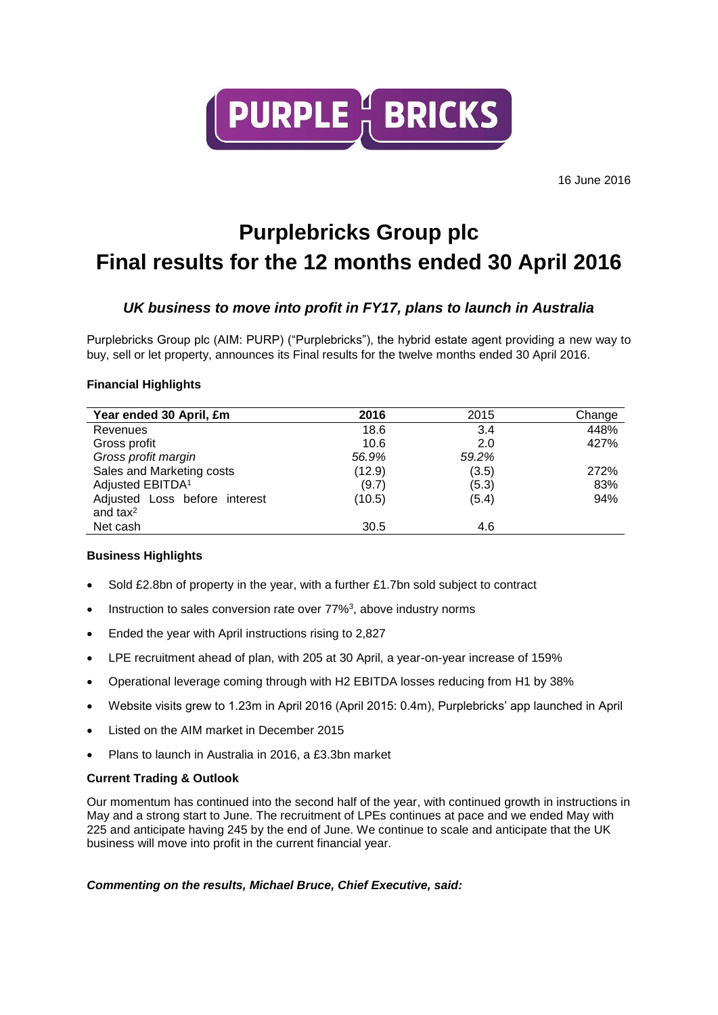

# **Purplebricks Group plc Final results for the 12 months ended 30 April 2016**

# *UK business to move into profit in FY17, plans to launch in Australia*

Purplebricks Group plc (AIM: PURP) ("Purplebricks"), the hybrid estate agent providing a new way to buy, sell or let property, announces its Final results for the twelve months ended 30 April 2016.

# **Financial Highlights**

| Year ended 30 April, £m       | 2016   | 2015  | Change |
|-------------------------------|--------|-------|--------|
| Revenues                      | 18.6   | 3.4   | 448%   |
| Gross profit                  | 10.6   | 2.0   | 427%   |
| Gross profit margin           | 56.9%  | 59.2% |        |
| Sales and Marketing costs     | (12.9) | (3.5) | 272%   |
| Adjusted EBITDA <sup>1</sup>  | (9.7)  | (5.3) | 83%    |
| Adjusted Loss before interest | (10.5) | (5.4) | 94%    |
| and $tax^2$                   |        |       |        |
| Net cash                      | 30.5   | 4.6   |        |

# **Business Highlights**

- Sold £2.8bn of property in the year, with a further £1.7bn sold subject to contract
- $\bullet$  Instruction to sales conversion rate over 77%<sup>3</sup>, above industry norms
- Ended the year with April instructions rising to 2,827
- LPE recruitment ahead of plan, with 205 at 30 April, a year-on-year increase of 159%
- Operational leverage coming through with H2 EBITDA losses reducing from H1 by 38%
- Website visits grew to 1.23m in April 2016 (April 2015: 0.4m), Purplebricks' app launched in April
- Listed on the AIM market in December 2015
- Plans to launch in Australia in 2016, a £3.3bn market

# **Current Trading & Outlook**

Our momentum has continued into the second half of the year, with continued growth in instructions in May and a strong start to June. The recruitment of LPEs continues at pace and we ended May with 225 and anticipate having 245 by the end of June. We continue to scale and anticipate that the UK business will move into profit in the current financial year.

# *Commenting on the results, Michael Bruce, Chief Executive, said:*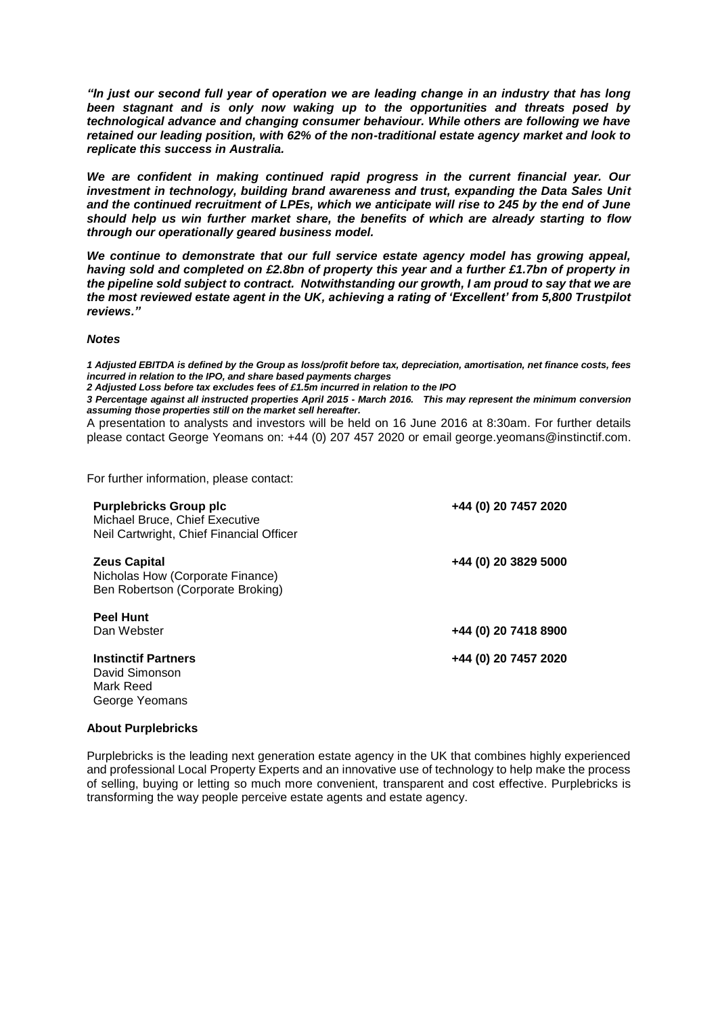*"In just our second full year of operation we are leading change in an industry that has long been stagnant and is only now waking up to the opportunities and threats posed by technological advance and changing consumer behaviour. While others are following we have retained our leading position, with 62% of the non-traditional estate agency market and look to replicate this success in Australia.*

*We are confident in making continued rapid progress in the current financial year. Our investment in technology, building brand awareness and trust, expanding the Data Sales Unit and the continued recruitment of LPEs, which we anticipate will rise to 245 by the end of June should help us win further market share, the benefits of which are already starting to flow through our operationally geared business model.* 

*We continue to demonstrate that our full service estate agency model has growing appeal, having sold and completed on £2.8bn of property this year and a further £1.7bn of property in the pipeline sold subject to contract. Notwithstanding our growth, I am proud to say that we are the most reviewed estate agent in the UK, achieving a rating of 'Excellent' from 5,800 Trustpilot reviews."* 

#### *Notes*

*1 Adjusted EBITDA is defined by the Group as loss/profit before tax, depreciation, amortisation, net finance costs, fees incurred in relation to the IPO, and share based payments charges*

*2 Adjusted Loss before tax excludes fees of £1.5m incurred in relation to the IPO*

*3 Percentage against all instructed properties April 2015 - March 2016. This may represent the minimum conversion assuming those properties still on the market sell hereafter.*

A presentation to analysts and investors will be held on 16 June 2016 at 8:30am. For further details please contact George Yeomans on: +44 (0) 207 457 2020 or email george.yeomans@instinctif.com.

For further information, please contact:

| <b>Purplebricks Group plc</b><br>Michael Bruce, Chief Executive<br>Neil Cartwright, Chief Financial Officer | +44 (0) 20 7457 2020 |
|-------------------------------------------------------------------------------------------------------------|----------------------|
| <b>Zeus Capital</b><br>Nicholas How (Corporate Finance)<br>Ben Robertson (Corporate Broking)                | +44 (0) 20 3829 5000 |
| <b>Peel Hunt</b><br>Dan Webster                                                                             | +44 (0) 20 7418 8900 |
| <b>Instinctif Partners</b><br>David Simonson<br>Mark Reed<br>George Yeomans                                 | +44 (0) 20 7457 2020 |

### **About Purplebricks**

Purplebricks is the leading next generation estate agency in the UK that combines highly experienced and professional Local Property Experts and an innovative use of technology to help make the process of selling, buying or letting so much more convenient, transparent and cost effective. Purplebricks is transforming the way people perceive estate agents and estate agency.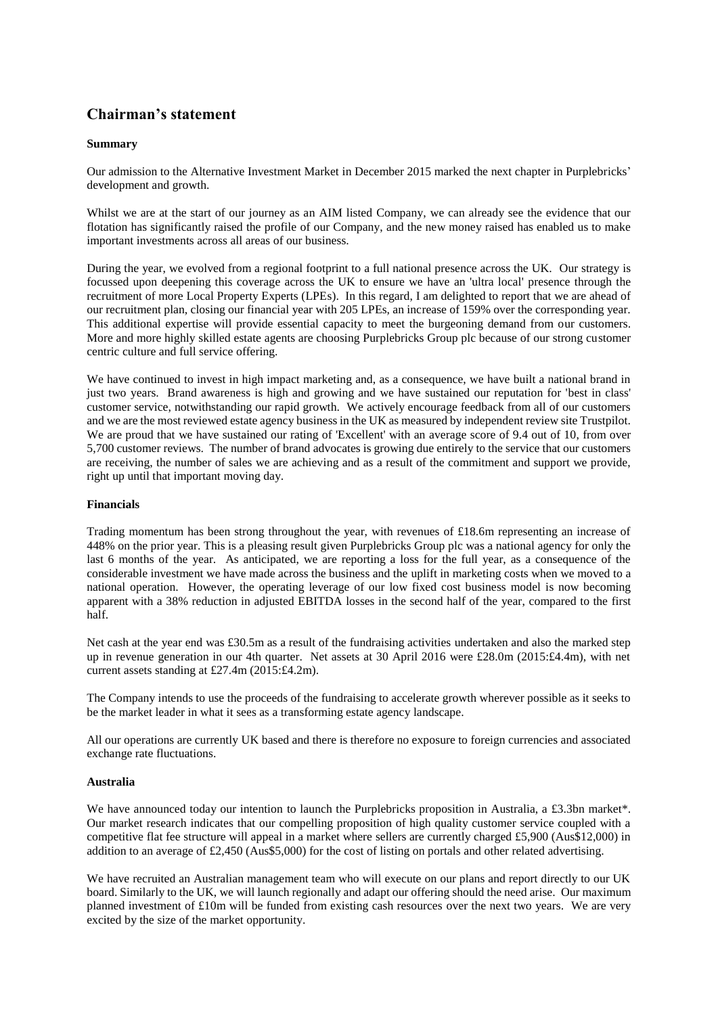# **Chairman's statement**

### **Summary**

Our admission to the Alternative Investment Market in December 2015 marked the next chapter in Purplebricks' development and growth.

Whilst we are at the start of our journey as an AIM listed Company, we can already see the evidence that our flotation has significantly raised the profile of our Company, and the new money raised has enabled us to make important investments across all areas of our business.

During the year, we evolved from a regional footprint to a full national presence across the UK. Our strategy is focussed upon deepening this coverage across the UK to ensure we have an 'ultra local' presence through the recruitment of more Local Property Experts (LPEs). In this regard, I am delighted to report that we are ahead of our recruitment plan, closing our financial year with 205 LPEs, an increase of 159% over the corresponding year. This additional expertise will provide essential capacity to meet the burgeoning demand from our customers. More and more highly skilled estate agents are choosing Purplebricks Group plc because of our strong customer centric culture and full service offering.

We have continued to invest in high impact marketing and, as a consequence, we have built a national brand in just two years. Brand awareness is high and growing and we have sustained our reputation for 'best in class' customer service, notwithstanding our rapid growth. We actively encourage feedback from all of our customers and we are the most reviewed estate agency business in the UK as measured by independent review site Trustpilot. We are proud that we have sustained our rating of 'Excellent' with an average score of 9.4 out of 10, from over 5,700 customer reviews. The number of brand advocates is growing due entirely to the service that our customers are receiving, the number of sales we are achieving and as a result of the commitment and support we provide, right up until that important moving day.

#### **Financials**

Trading momentum has been strong throughout the year, with revenues of £18.6m representing an increase of 448% on the prior year. This is a pleasing result given Purplebricks Group plc was a national agency for only the last 6 months of the year. As anticipated, we are reporting a loss for the full year, as a consequence of the considerable investment we have made across the business and the uplift in marketing costs when we moved to a national operation. However, the operating leverage of our low fixed cost business model is now becoming apparent with a 38% reduction in adjusted EBITDA losses in the second half of the year, compared to the first half.

Net cash at the year end was £30.5m as a result of the fundraising activities undertaken and also the marked step up in revenue generation in our 4th quarter. Net assets at 30 April 2016 were £28.0m (2015:£4.4m), with net current assets standing at £27.4m (2015:£4.2m).

The Company intends to use the proceeds of the fundraising to accelerate growth wherever possible as it seeks to be the market leader in what it sees as a transforming estate agency landscape.

All our operations are currently UK based and there is therefore no exposure to foreign currencies and associated exchange rate fluctuations.

#### **Australia**

We have announced today our intention to launch the Purplebricks proposition in Australia, a £3.3bn market\*. Our market research indicates that our compelling proposition of high quality customer service coupled with a competitive flat fee structure will appeal in a market where sellers are currently charged £5,900 (Aus\$12,000) in addition to an average of £2,450 (Aus\$5,000) for the cost of listing on portals and other related advertising.

We have recruited an Australian management team who will execute on our plans and report directly to our UK board. Similarly to the UK, we will launch regionally and adapt our offering should the need arise. Our maximum planned investment of £10m will be funded from existing cash resources over the next two years. We are very excited by the size of the market opportunity.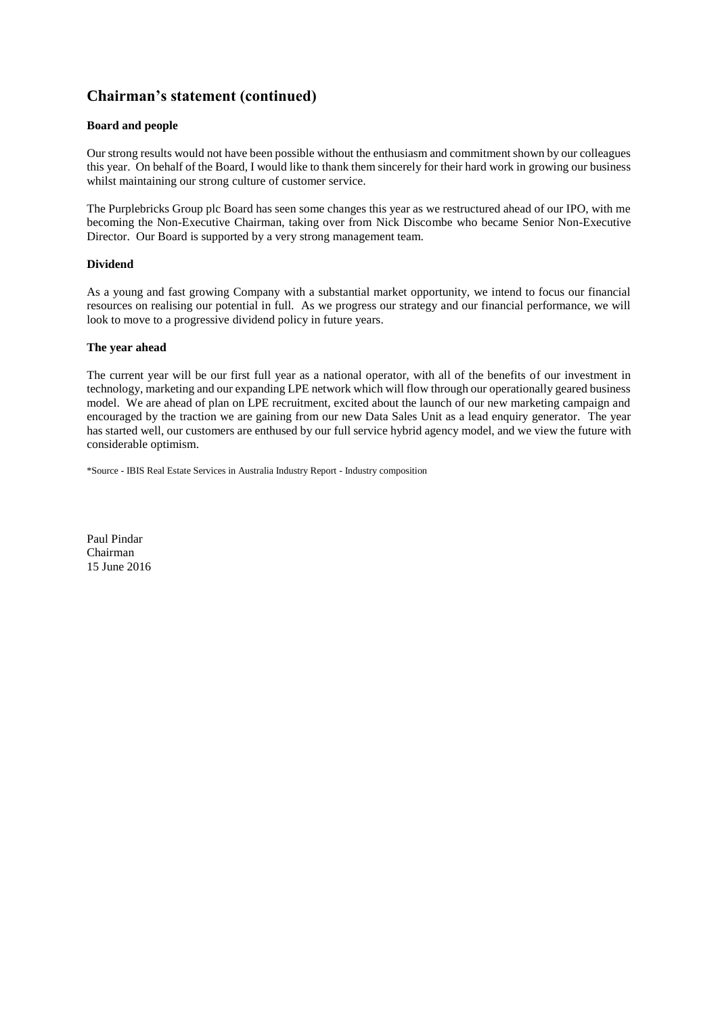# **Chairman's statement (continued)**

# **Board and people**

Our strong results would not have been possible without the enthusiasm and commitment shown by our colleagues this year. On behalf of the Board, I would like to thank them sincerely for their hard work in growing our business whilst maintaining our strong culture of customer service.

The Purplebricks Group plc Board has seen some changes this year as we restructured ahead of our IPO, with me becoming the Non-Executive Chairman, taking over from Nick Discombe who became Senior Non-Executive Director. Our Board is supported by a very strong management team.

### **Dividend**

As a young and fast growing Company with a substantial market opportunity, we intend to focus our financial resources on realising our potential in full. As we progress our strategy and our financial performance, we will look to move to a progressive dividend policy in future years.

# **The year ahead**

The current year will be our first full year as a national operator, with all of the benefits of our investment in technology, marketing and our expanding LPE network which will flow through our operationally geared business model. We are ahead of plan on LPE recruitment, excited about the launch of our new marketing campaign and encouraged by the traction we are gaining from our new Data Sales Unit as a lead enquiry generator. The year has started well, our customers are enthused by our full service hybrid agency model, and we view the future with considerable optimism.

\*Source - IBIS Real Estate Services in Australia Industry Report - Industry composition

Paul Pindar Chairman 15 June 2016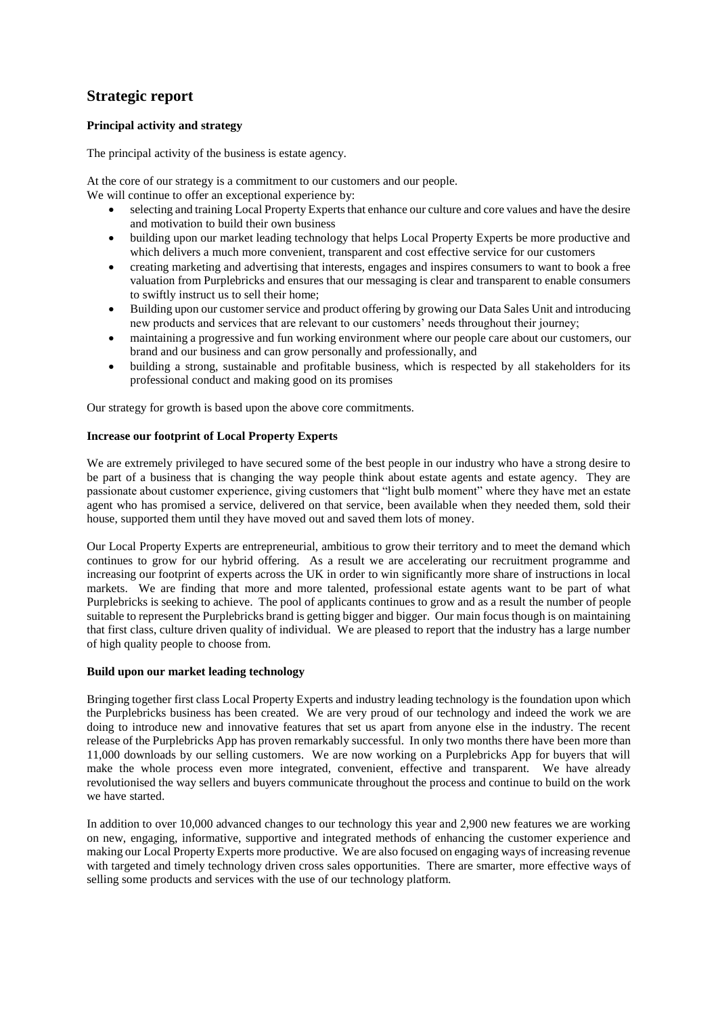# **Strategic report**

# **Principal activity and strategy**

The principal activity of the business is estate agency.

At the core of our strategy is a commitment to our customers and our people.

We will continue to offer an exceptional experience by:

- selecting and training Local Property Experts that enhance our culture and core values and have the desire and motivation to build their own business
- building upon our market leading technology that helps Local Property Experts be more productive and which delivers a much more convenient, transparent and cost effective service for our customers
- creating marketing and advertising that interests, engages and inspires consumers to want to book a free valuation from Purplebricks and ensures that our messaging is clear and transparent to enable consumers to swiftly instruct us to sell their home;
- Building upon our customer service and product offering by growing our Data Sales Unit and introducing new products and services that are relevant to our customers' needs throughout their journey;
- maintaining a progressive and fun working environment where our people care about our customers, our brand and our business and can grow personally and professionally, and
- building a strong, sustainable and profitable business, which is respected by all stakeholders for its professional conduct and making good on its promises

Our strategy for growth is based upon the above core commitments.

#### **Increase our footprint of Local Property Experts**

We are extremely privileged to have secured some of the best people in our industry who have a strong desire to be part of a business that is changing the way people think about estate agents and estate agency. They are passionate about customer experience, giving customers that "light bulb moment" where they have met an estate agent who has promised a service, delivered on that service, been available when they needed them, sold their house, supported them until they have moved out and saved them lots of money.

Our Local Property Experts are entrepreneurial, ambitious to grow their territory and to meet the demand which continues to grow for our hybrid offering. As a result we are accelerating our recruitment programme and increasing our footprint of experts across the UK in order to win significantly more share of instructions in local markets. We are finding that more and more talented, professional estate agents want to be part of what Purplebricks is seeking to achieve. The pool of applicants continues to grow and as a result the number of people suitable to represent the Purplebricks brand is getting bigger and bigger. Our main focus though is on maintaining that first class, culture driven quality of individual. We are pleased to report that the industry has a large number of high quality people to choose from.

### **Build upon our market leading technology**

Bringing together first class Local Property Experts and industry leading technology is the foundation upon which the Purplebricks business has been created. We are very proud of our technology and indeed the work we are doing to introduce new and innovative features that set us apart from anyone else in the industry. The recent release of the Purplebricks App has proven remarkably successful. In only two months there have been more than 11,000 downloads by our selling customers. We are now working on a Purplebricks App for buyers that will make the whole process even more integrated, convenient, effective and transparent. We have already revolutionised the way sellers and buyers communicate throughout the process and continue to build on the work we have started.

In addition to over 10,000 advanced changes to our technology this year and 2,900 new features we are working on new, engaging, informative, supportive and integrated methods of enhancing the customer experience and making our Local Property Experts more productive. We are also focused on engaging ways of increasing revenue with targeted and timely technology driven cross sales opportunities. There are smarter, more effective ways of selling some products and services with the use of our technology platform.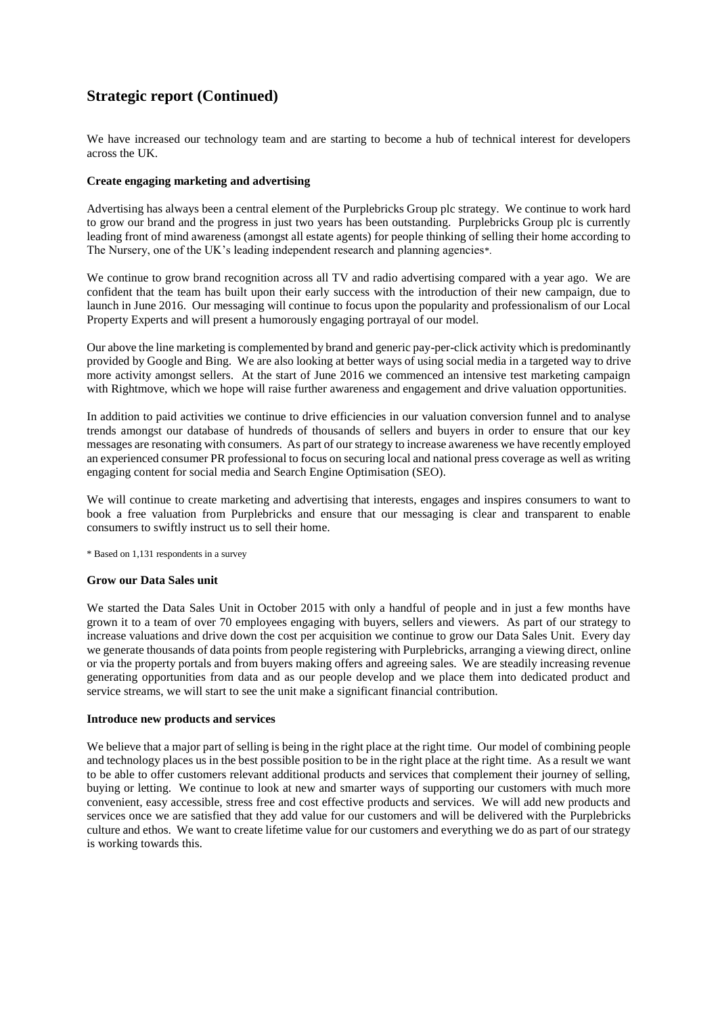We have increased our technology team and are starting to become a hub of technical interest for developers across the UK.

### **Create engaging marketing and advertising**

Advertising has always been a central element of the Purplebricks Group plc strategy. We continue to work hard to grow our brand and the progress in just two years has been outstanding. Purplebricks Group plc is currently leading front of mind awareness (amongst all estate agents) for people thinking of selling their home according to The Nursery, one of the UK's leading independent research and planning agencies\*.

We continue to grow brand recognition across all TV and radio advertising compared with a year ago. We are confident that the team has built upon their early success with the introduction of their new campaign, due to launch in June 2016. Our messaging will continue to focus upon the popularity and professionalism of our Local Property Experts and will present a humorously engaging portrayal of our model.

Our above the line marketing is complemented by brand and generic pay-per-click activity which is predominantly provided by Google and Bing. We are also looking at better ways of using social media in a targeted way to drive more activity amongst sellers. At the start of June 2016 we commenced an intensive test marketing campaign with Rightmove, which we hope will raise further awareness and engagement and drive valuation opportunities.

In addition to paid activities we continue to drive efficiencies in our valuation conversion funnel and to analyse trends amongst our database of hundreds of thousands of sellers and buyers in order to ensure that our key messages are resonating with consumers. As part of our strategy to increase awareness we have recently employed an experienced consumer PR professional to focus on securing local and national press coverage as well as writing engaging content for social media and Search Engine Optimisation (SEO).

We will continue to create marketing and advertising that interests, engages and inspires consumers to want to book a free valuation from Purplebricks and ensure that our messaging is clear and transparent to enable consumers to swiftly instruct us to sell their home.

\* Based on 1,131 respondents in a survey

#### **Grow our Data Sales unit**

We started the Data Sales Unit in October 2015 with only a handful of people and in just a few months have grown it to a team of over 70 employees engaging with buyers, sellers and viewers. As part of our strategy to increase valuations and drive down the cost per acquisition we continue to grow our Data Sales Unit. Every day we generate thousands of data points from people registering with Purplebricks, arranging a viewing direct, online or via the property portals and from buyers making offers and agreeing sales. We are steadily increasing revenue generating opportunities from data and as our people develop and we place them into dedicated product and service streams, we will start to see the unit make a significant financial contribution.

#### **Introduce new products and services**

We believe that a major part of selling is being in the right place at the right time. Our model of combining people and technology places us in the best possible position to be in the right place at the right time. As a result we want to be able to offer customers relevant additional products and services that complement their journey of selling, buying or letting. We continue to look at new and smarter ways of supporting our customers with much more convenient, easy accessible, stress free and cost effective products and services. We will add new products and services once we are satisfied that they add value for our customers and will be delivered with the Purplebricks culture and ethos. We want to create lifetime value for our customers and everything we do as part of our strategy is working towards this.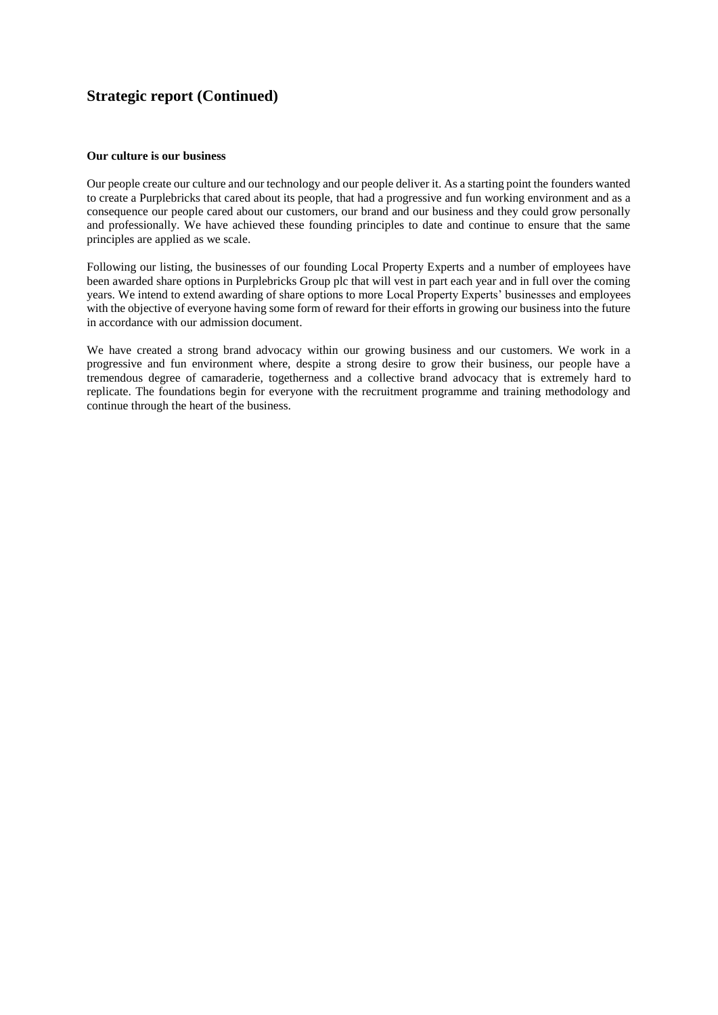#### **Our culture is our business**

Our people create our culture and our technology and our people deliver it. As a starting point the founders wanted to create a Purplebricks that cared about its people, that had a progressive and fun working environment and as a consequence our people cared about our customers, our brand and our business and they could grow personally and professionally. We have achieved these founding principles to date and continue to ensure that the same principles are applied as we scale.

Following our listing, the businesses of our founding Local Property Experts and a number of employees have been awarded share options in Purplebricks Group plc that will vest in part each year and in full over the coming years. We intend to extend awarding of share options to more Local Property Experts' businesses and employees with the objective of everyone having some form of reward for their efforts in growing our business into the future in accordance with our admission document.

We have created a strong brand advocacy within our growing business and our customers. We work in a progressive and fun environment where, despite a strong desire to grow their business, our people have a tremendous degree of camaraderie, togetherness and a collective brand advocacy that is extremely hard to replicate. The foundations begin for everyone with the recruitment programme and training methodology and continue through the heart of the business.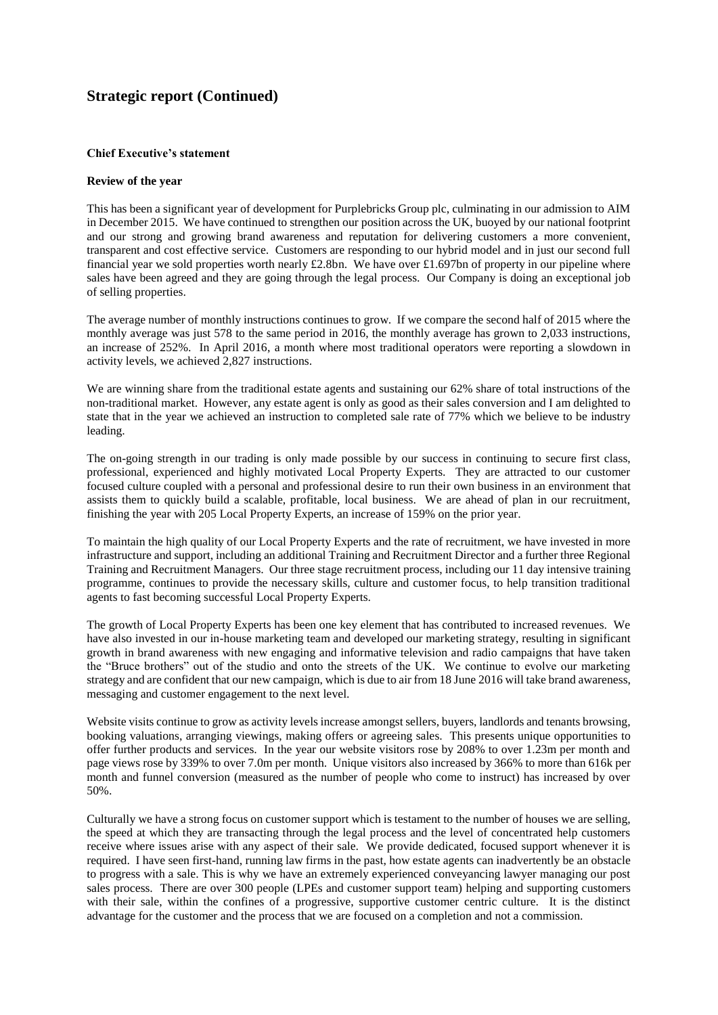### **Chief Executive's statement**

#### **Review of the year**

This has been a significant year of development for Purplebricks Group plc, culminating in our admission to AIM in December 2015. We have continued to strengthen our position across the UK, buoyed by our national footprint and our strong and growing brand awareness and reputation for delivering customers a more convenient, transparent and cost effective service. Customers are responding to our hybrid model and in just our second full financial year we sold properties worth nearly £2.8bn. We have over £1.697bn of property in our pipeline where sales have been agreed and they are going through the legal process. Our Company is doing an exceptional job of selling properties.

The average number of monthly instructions continues to grow. If we compare the second half of 2015 where the monthly average was just 578 to the same period in 2016, the monthly average has grown to 2,033 instructions, an increase of 252%. In April 2016, a month where most traditional operators were reporting a slowdown in activity levels, we achieved 2,827 instructions.

We are winning share from the traditional estate agents and sustaining our 62% share of total instructions of the non-traditional market. However, any estate agent is only as good as their sales conversion and I am delighted to state that in the year we achieved an instruction to completed sale rate of 77% which we believe to be industry leading.

The on-going strength in our trading is only made possible by our success in continuing to secure first class, professional, experienced and highly motivated Local Property Experts. They are attracted to our customer focused culture coupled with a personal and professional desire to run their own business in an environment that assists them to quickly build a scalable, profitable, local business. We are ahead of plan in our recruitment, finishing the year with 205 Local Property Experts, an increase of 159% on the prior year.

To maintain the high quality of our Local Property Experts and the rate of recruitment, we have invested in more infrastructure and support, including an additional Training and Recruitment Director and a further three Regional Training and Recruitment Managers. Our three stage recruitment process, including our 11 day intensive training programme, continues to provide the necessary skills, culture and customer focus, to help transition traditional agents to fast becoming successful Local Property Experts.

The growth of Local Property Experts has been one key element that has contributed to increased revenues. We have also invested in our in-house marketing team and developed our marketing strategy, resulting in significant growth in brand awareness with new engaging and informative television and radio campaigns that have taken the "Bruce brothers" out of the studio and onto the streets of the UK. We continue to evolve our marketing strategy and are confident that our new campaign, which is due to air from 18 June 2016 will take brand awareness, messaging and customer engagement to the next level.

Website visits continue to grow as activity levels increase amongst sellers, buyers, landlords and tenants browsing, booking valuations, arranging viewings, making offers or agreeing sales. This presents unique opportunities to offer further products and services. In the year our website visitors rose by 208% to over 1.23m per month and page views rose by 339% to over 7.0m per month. Unique visitors also increased by 366% to more than 616k per month and funnel conversion (measured as the number of people who come to instruct) has increased by over 50%.

Culturally we have a strong focus on customer support which is testament to the number of houses we are selling, the speed at which they are transacting through the legal process and the level of concentrated help customers receive where issues arise with any aspect of their sale. We provide dedicated, focused support whenever it is required. I have seen first-hand, running law firms in the past, how estate agents can inadvertently be an obstacle to progress with a sale. This is why we have an extremely experienced conveyancing lawyer managing our post sales process. There are over 300 people (LPEs and customer support team) helping and supporting customers with their sale, within the confines of a progressive, supportive customer centric culture. It is the distinct advantage for the customer and the process that we are focused on a completion and not a commission.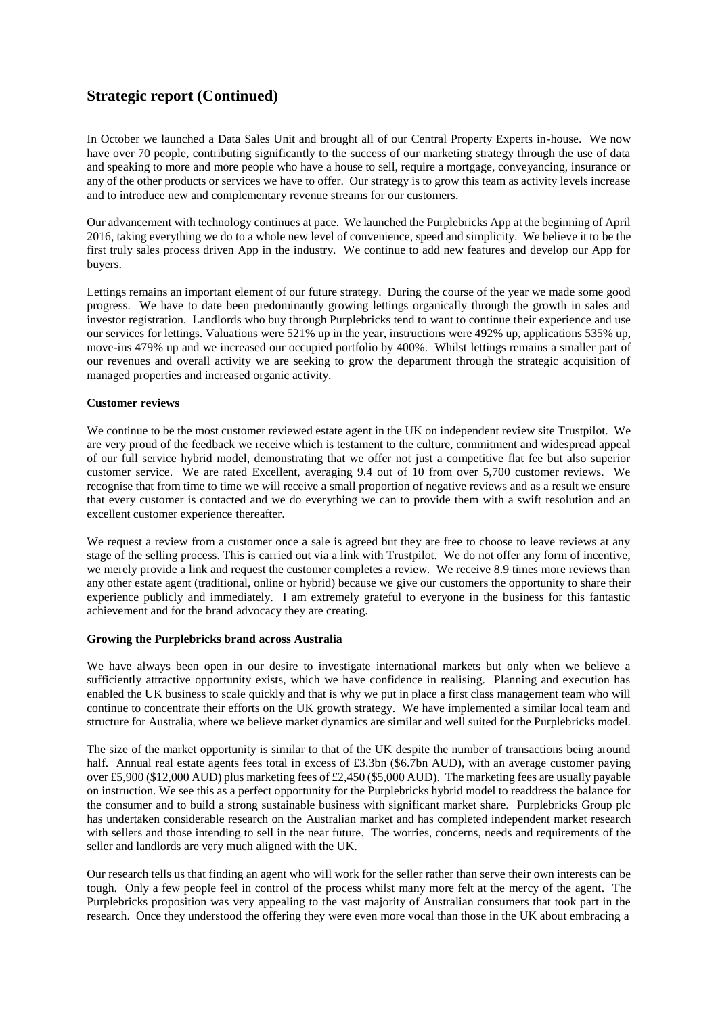In October we launched a Data Sales Unit and brought all of our Central Property Experts in-house. We now have over 70 people, contributing significantly to the success of our marketing strategy through the use of data and speaking to more and more people who have a house to sell, require a mortgage, conveyancing, insurance or any of the other products or services we have to offer. Our strategy is to grow this team as activity levels increase and to introduce new and complementary revenue streams for our customers.

Our advancement with technology continues at pace. We launched the Purplebricks App at the beginning of April 2016, taking everything we do to a whole new level of convenience, speed and simplicity. We believe it to be the first truly sales process driven App in the industry. We continue to add new features and develop our App for buyers.

Lettings remains an important element of our future strategy. During the course of the year we made some good progress. We have to date been predominantly growing lettings organically through the growth in sales and investor registration. Landlords who buy through Purplebricks tend to want to continue their experience and use our services for lettings. Valuations were 521% up in the year, instructions were 492% up, applications 535% up, move-ins 479% up and we increased our occupied portfolio by 400%. Whilst lettings remains a smaller part of our revenues and overall activity we are seeking to grow the department through the strategic acquisition of managed properties and increased organic activity.

### **Customer reviews**

We continue to be the most customer reviewed estate agent in the UK on independent review site Trustpilot. We are very proud of the feedback we receive which is testament to the culture, commitment and widespread appeal of our full service hybrid model, demonstrating that we offer not just a competitive flat fee but also superior customer service. We are rated Excellent, averaging 9.4 out of 10 from over 5,700 customer reviews. We recognise that from time to time we will receive a small proportion of negative reviews and as a result we ensure that every customer is contacted and we do everything we can to provide them with a swift resolution and an excellent customer experience thereafter.

We request a review from a customer once a sale is agreed but they are free to choose to leave reviews at any stage of the selling process. This is carried out via a link with Trustpilot. We do not offer any form of incentive, we merely provide a link and request the customer completes a review. We receive 8.9 times more reviews than any other estate agent (traditional, online or hybrid) because we give our customers the opportunity to share their experience publicly and immediately. I am extremely grateful to everyone in the business for this fantastic achievement and for the brand advocacy they are creating.

#### **Growing the Purplebricks brand across Australia**

We have always been open in our desire to investigate international markets but only when we believe a sufficiently attractive opportunity exists, which we have confidence in realising. Planning and execution has enabled the UK business to scale quickly and that is why we put in place a first class management team who will continue to concentrate their efforts on the UK growth strategy. We have implemented a similar local team and structure for Australia, where we believe market dynamics are similar and well suited for the Purplebricks model.

The size of the market opportunity is similar to that of the UK despite the number of transactions being around half. Annual real estate agents fees total in excess of £3.3bn (\$6.7bn AUD), with an average customer paying over £5,900 (\$12,000 AUD) plus marketing fees of £2,450 (\$5,000 AUD). The marketing fees are usually payable on instruction. We see this as a perfect opportunity for the Purplebricks hybrid model to readdress the balance for the consumer and to build a strong sustainable business with significant market share. Purplebricks Group plc has undertaken considerable research on the Australian market and has completed independent market research with sellers and those intending to sell in the near future. The worries, concerns, needs and requirements of the seller and landlords are very much aligned with the UK.

Our research tells us that finding an agent who will work for the seller rather than serve their own interests can be tough. Only a few people feel in control of the process whilst many more felt at the mercy of the agent. The Purplebricks proposition was very appealing to the vast majority of Australian consumers that took part in the research. Once they understood the offering they were even more vocal than those in the UK about embracing a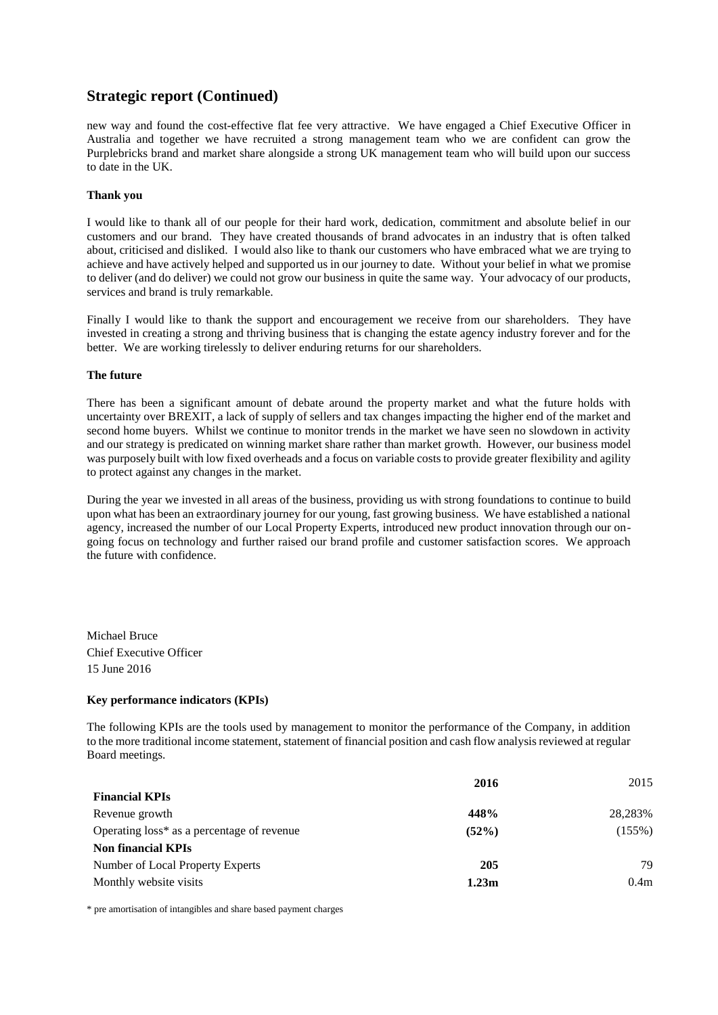new way and found the cost-effective flat fee very attractive. We have engaged a Chief Executive Officer in Australia and together we have recruited a strong management team who we are confident can grow the Purplebricks brand and market share alongside a strong UK management team who will build upon our success to date in the UK.

### **Thank you**

I would like to thank all of our people for their hard work, dedication, commitment and absolute belief in our customers and our brand. They have created thousands of brand advocates in an industry that is often talked about, criticised and disliked. I would also like to thank our customers who have embraced what we are trying to achieve and have actively helped and supported us in our journey to date. Without your belief in what we promise to deliver (and do deliver) we could not grow our business in quite the same way. Your advocacy of our products, services and brand is truly remarkable.

Finally I would like to thank the support and encouragement we receive from our shareholders. They have invested in creating a strong and thriving business that is changing the estate agency industry forever and for the better. We are working tirelessly to deliver enduring returns for our shareholders.

#### **The future**

There has been a significant amount of debate around the property market and what the future holds with uncertainty over BREXIT, a lack of supply of sellers and tax changes impacting the higher end of the market and second home buyers. Whilst we continue to monitor trends in the market we have seen no slowdown in activity and our strategy is predicated on winning market share rather than market growth. However, our business model was purposely built with low fixed overheads and a focus on variable costs to provide greater flexibility and agility to protect against any changes in the market.

During the year we invested in all areas of the business, providing us with strong foundations to continue to build upon what has been an extraordinary journey for our young, fast growing business. We have established a national agency, increased the number of our Local Property Experts, introduced new product innovation through our ongoing focus on technology and further raised our brand profile and customer satisfaction scores. We approach the future with confidence.

Michael Bruce Chief Executive Officer 15 June 2016

### **Key performance indicators (KPIs)**

The following KPIs are the tools used by management to monitor the performance of the Company, in addition to the more traditional income statement, statement of financial position and cash flow analysis reviewed at regular Board meetings.

|                                            | 2016              | 2015             |
|--------------------------------------------|-------------------|------------------|
| <b>Financial KPIs</b>                      |                   |                  |
| Revenue growth                             | 448%              | 28.283%          |
| Operating loss* as a percentage of revenue | (52%)             | (155%)           |
| <b>Non financial KPIs</b>                  |                   |                  |
| Number of Local Property Experts           | 205               | 79               |
| Monthly website visits                     | 1.23 <sub>m</sub> | 0.4 <sub>m</sub> |
|                                            |                   |                  |

\* pre amortisation of intangibles and share based payment charges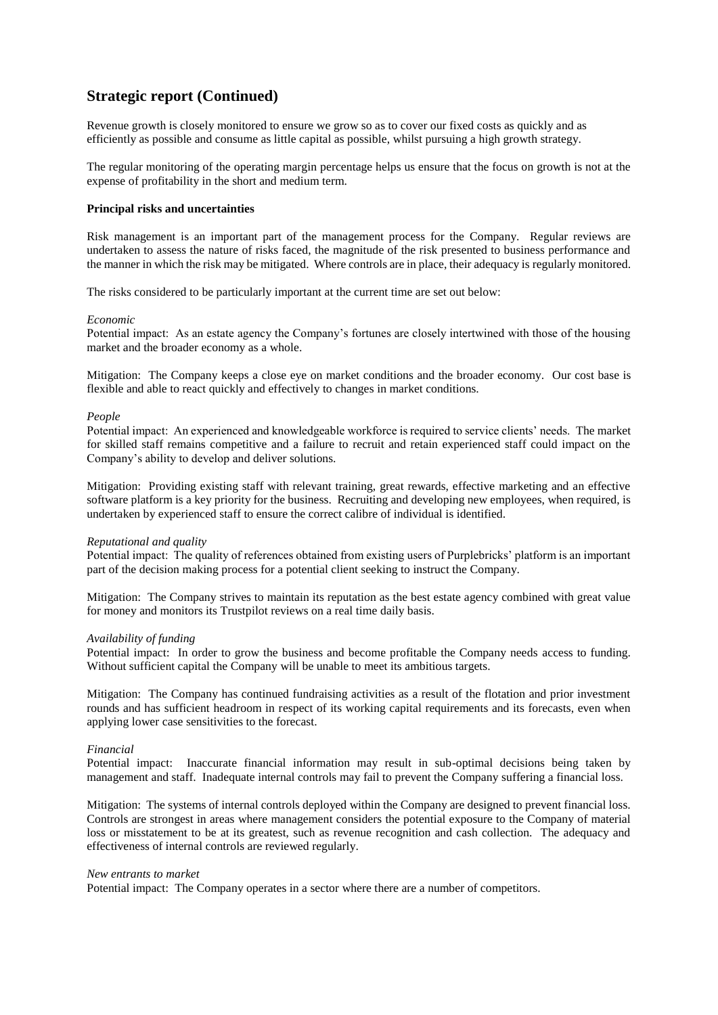Revenue growth is closely monitored to ensure we grow so as to cover our fixed costs as quickly and as efficiently as possible and consume as little capital as possible, whilst pursuing a high growth strategy.

The regular monitoring of the operating margin percentage helps us ensure that the focus on growth is not at the expense of profitability in the short and medium term.

#### **Principal risks and uncertainties**

Risk management is an important part of the management process for the Company. Regular reviews are undertaken to assess the nature of risks faced, the magnitude of the risk presented to business performance and the manner in which the risk may be mitigated. Where controls are in place, their adequacy is regularly monitored.

The risks considered to be particularly important at the current time are set out below:

#### *Economic*

Potential impact: As an estate agency the Company's fortunes are closely intertwined with those of the housing market and the broader economy as a whole.

Mitigation: The Company keeps a close eye on market conditions and the broader economy. Our cost base is flexible and able to react quickly and effectively to changes in market conditions.

#### *People*

Potential impact: An experienced and knowledgeable workforce is required to service clients' needs. The market for skilled staff remains competitive and a failure to recruit and retain experienced staff could impact on the Company's ability to develop and deliver solutions.

Mitigation: Providing existing staff with relevant training, great rewards, effective marketing and an effective software platform is a key priority for the business. Recruiting and developing new employees, when required, is undertaken by experienced staff to ensure the correct calibre of individual is identified.

#### *Reputational and quality*

Potential impact: The quality of references obtained from existing users of Purplebricks' platform is an important part of the decision making process for a potential client seeking to instruct the Company.

Mitigation: The Company strives to maintain its reputation as the best estate agency combined with great value for money and monitors its Trustpilot reviews on a real time daily basis.

#### *Availability of funding*

Potential impact: In order to grow the business and become profitable the Company needs access to funding. Without sufficient capital the Company will be unable to meet its ambitious targets.

Mitigation: The Company has continued fundraising activities as a result of the flotation and prior investment rounds and has sufficient headroom in respect of its working capital requirements and its forecasts, even when applying lower case sensitivities to the forecast.

#### *Financial*

Potential impact: Inaccurate financial information may result in sub-optimal decisions being taken by management and staff. Inadequate internal controls may fail to prevent the Company suffering a financial loss.

Mitigation: The systems of internal controls deployed within the Company are designed to prevent financial loss. Controls are strongest in areas where management considers the potential exposure to the Company of material loss or misstatement to be at its greatest, such as revenue recognition and cash collection. The adequacy and effectiveness of internal controls are reviewed regularly.

#### *New entrants to market*

Potential impact: The Company operates in a sector where there are a number of competitors.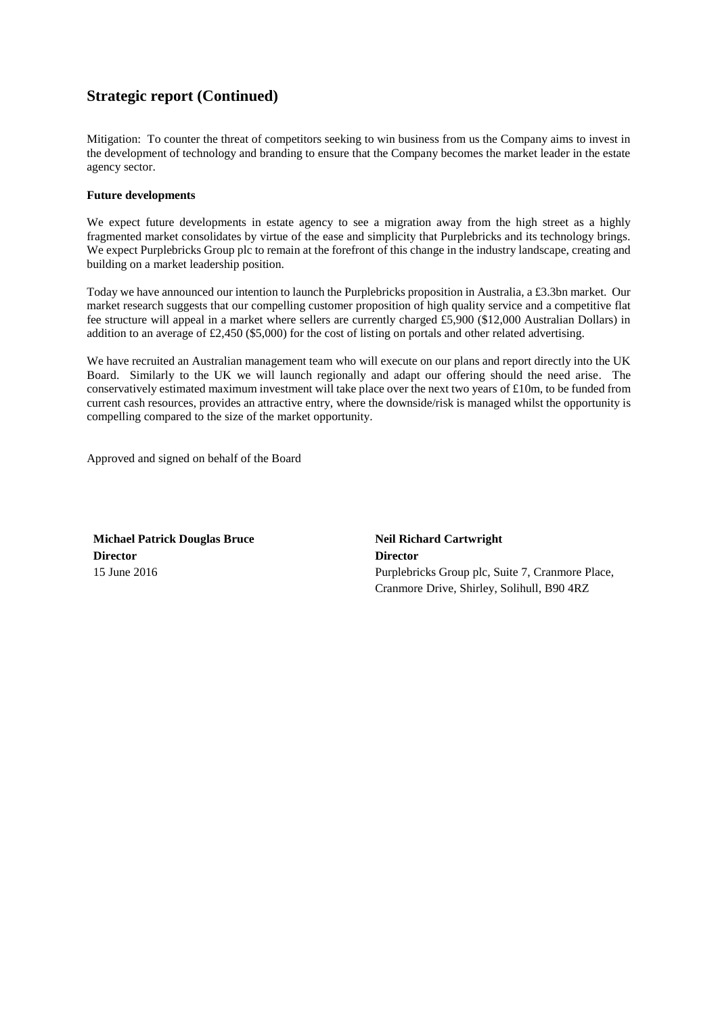Mitigation: To counter the threat of competitors seeking to win business from us the Company aims to invest in the development of technology and branding to ensure that the Company becomes the market leader in the estate agency sector.

### **Future developments**

We expect future developments in estate agency to see a migration away from the high street as a highly fragmented market consolidates by virtue of the ease and simplicity that Purplebricks and its technology brings. We expect Purplebricks Group plc to remain at the forefront of this change in the industry landscape, creating and building on a market leadership position.

Today we have announced our intention to launch the Purplebricks proposition in Australia, a £3.3bn market. Our market research suggests that our compelling customer proposition of high quality service and a competitive flat fee structure will appeal in a market where sellers are currently charged £5,900 (\$12,000 Australian Dollars) in addition to an average of £2,450 (\$5,000) for the cost of listing on portals and other related advertising.

We have recruited an Australian management team who will execute on our plans and report directly into the UK Board. Similarly to the UK we will launch regionally and adapt our offering should the need arise. The conservatively estimated maximum investment will take place over the next two years of  $\text{\pounds}10m$ , to be funded from current cash resources, provides an attractive entry, where the downside/risk is managed whilst the opportunity is compelling compared to the size of the market opportunity.

Approved and signed on behalf of the Board

**Michael Patrick Douglas Bruce Neil Richard Cartwright Director Director**

15 June 2016 Purplebricks Group plc, Suite 7, Cranmore Place, Cranmore Drive, Shirley, Solihull, B90 4RZ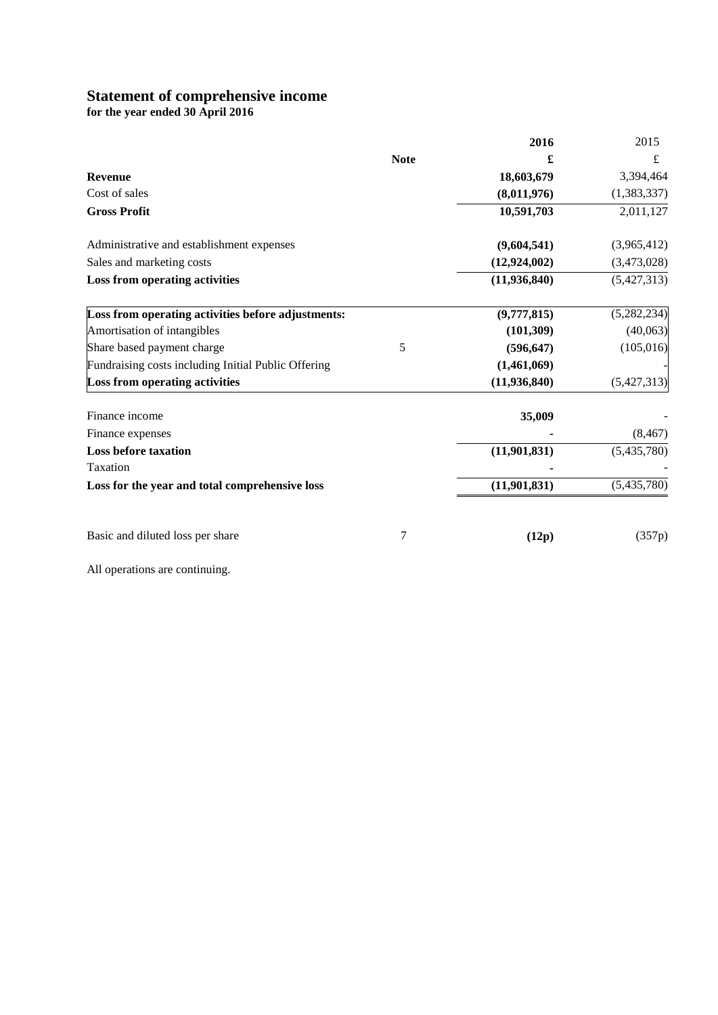# **Statement of comprehensive income**

**for the year ended 30 April 2016**

|                                                     |             | 2016           | 2015        |
|-----------------------------------------------------|-------------|----------------|-------------|
|                                                     | <b>Note</b> | £              | £           |
| <b>Revenue</b>                                      |             | 18,603,679     | 3,394,464   |
| Cost of sales                                       |             | (8,011,976)    | (1,383,337) |
| <b>Gross Profit</b>                                 |             | 10,591,703     | 2,011,127   |
| Administrative and establishment expenses           |             | (9,604,541)    | (3,965,412) |
| Sales and marketing costs                           |             | (12, 924, 002) | (3,473,028) |
| Loss from operating activities                      |             | (11, 936, 840) | (5,427,313) |
| Loss from operating activities before adjustments:  |             | (9,777,815)    | (5,282,234) |
| Amortisation of intangibles                         |             | (101, 309)     | (40,063)    |
| Share based payment charge                          | 5           | (596, 647)     | (105, 016)  |
| Fundraising costs including Initial Public Offering |             | (1,461,069)    |             |
| <b>Loss from operating activities</b>               |             | (11, 936, 840) | (5,427,313) |
| Finance income                                      |             | 35,009         |             |
| Finance expenses                                    |             |                | (8, 467)    |
| <b>Loss before taxation</b>                         |             | (11, 901, 831) | (5,435,780) |
| Taxation                                            |             |                |             |
| Loss for the year and total comprehensive loss      |             | (11, 901, 831) | (5,435,780) |
| Basic and diluted loss per share                    | 7           | (12p)          | (357p)      |

All operations are continuing.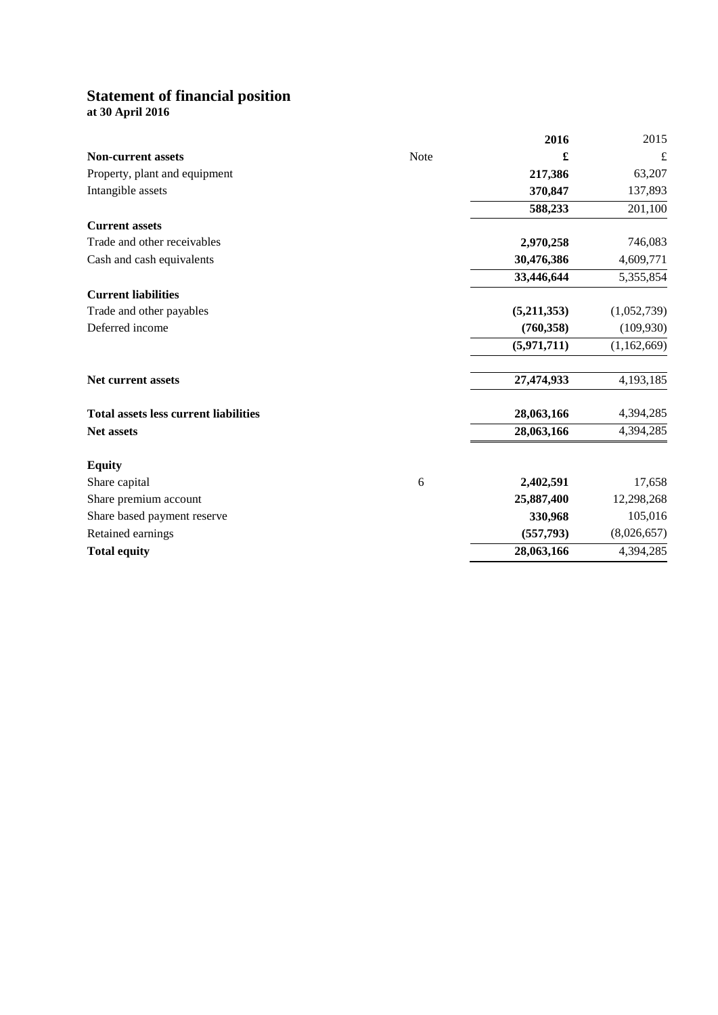# **Statement of financial position**

**at 30 April 2016**

|                                              |      | 2016        | 2015        |
|----------------------------------------------|------|-------------|-------------|
| <b>Non-current assets</b>                    | Note | £           | $\mathbf f$ |
| Property, plant and equipment                |      | 217,386     | 63,207      |
| Intangible assets                            |      | 370,847     | 137,893     |
|                                              |      | 588,233     | 201,100     |
| <b>Current assets</b>                        |      |             |             |
| Trade and other receivables                  |      | 2,970,258   | 746,083     |
| Cash and cash equivalents                    |      | 30,476,386  | 4,609,771   |
|                                              |      | 33,446,644  | 5,355,854   |
| <b>Current liabilities</b>                   |      |             |             |
| Trade and other payables                     |      | (5,211,353) | (1,052,739) |
| Deferred income                              |      | (760, 358)  | (109, 930)  |
|                                              |      | (5,971,711) | (1,162,669) |
| <b>Net current assets</b>                    |      | 27,474,933  | 4,193,185   |
| <b>Total assets less current liabilities</b> |      | 28,063,166  | 4,394,285   |
| Net assets                                   |      | 28,063,166  | 4,394,285   |
| <b>Equity</b>                                |      |             |             |
| Share capital                                | 6    | 2,402,591   | 17,658      |
| Share premium account                        |      | 25,887,400  | 12,298,268  |
| Share based payment reserve                  |      | 330,968     | 105,016     |
| Retained earnings                            |      | (557, 793)  | (8,026,657) |
| <b>Total equity</b>                          |      | 28,063,166  | 4,394,285   |
|                                              |      |             |             |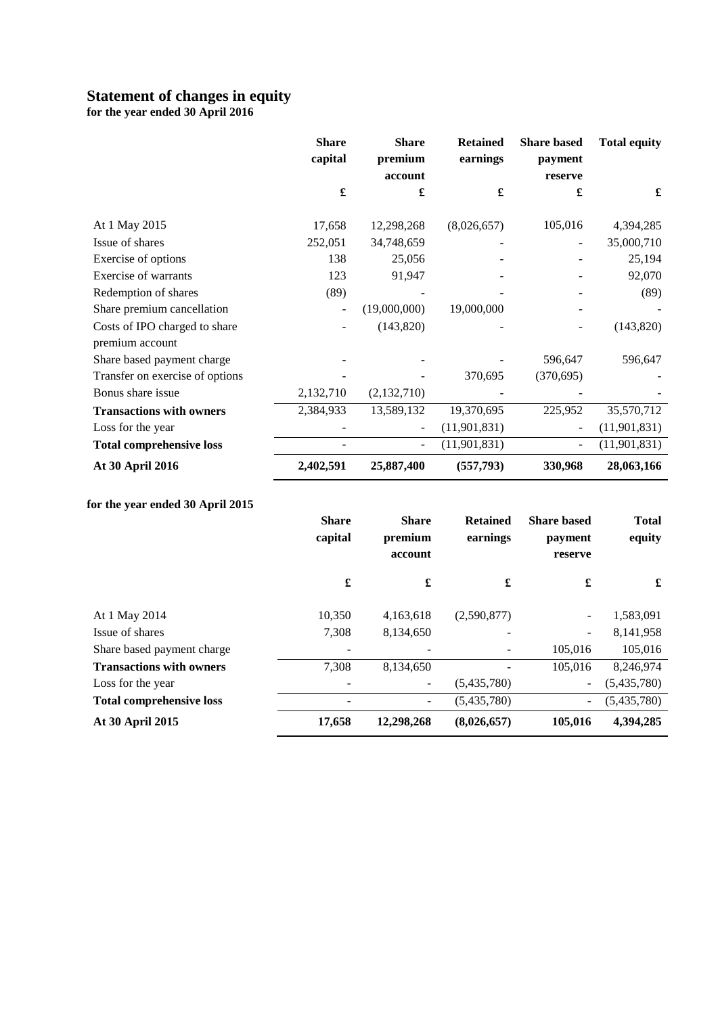# **Statement of changes in equity**

**for the year ended 30 April 2016**

|                                 | <b>Share</b><br>capital | <b>Share</b><br>premium | <b>Retained</b><br>earnings | <b>Share based</b><br>payment | <b>Total equity</b> |
|---------------------------------|-------------------------|-------------------------|-----------------------------|-------------------------------|---------------------|
|                                 |                         | account                 |                             | reserve                       |                     |
|                                 | £                       | £                       | £                           | £                             | £                   |
| At 1 May 2015                   | 17,658                  | 12,298,268              | (8,026,657)                 | 105,016                       | 4,394,285           |
| Issue of shares                 | 252,051                 | 34,748,659              |                             |                               | 35,000,710          |
| Exercise of options             | 138                     | 25,056                  |                             |                               | 25,194              |
| Exercise of warrants            | 123                     | 91,947                  |                             |                               | 92,070              |
| Redemption of shares            | (89)                    |                         |                             |                               | (89)                |
| Share premium cancellation      |                         | (19,000,000)            | 19,000,000                  |                               |                     |
| Costs of IPO charged to share   |                         | (143, 820)              |                             |                               | (143, 820)          |
| premium account                 |                         |                         |                             |                               |                     |
| Share based payment charge      |                         |                         |                             | 596,647                       | 596,647             |
| Transfer on exercise of options |                         |                         | 370,695                     | (370, 695)                    |                     |
| Bonus share issue               | 2,132,710               | (2,132,710)             |                             |                               |                     |
| <b>Transactions with owners</b> | 2,384,933               | 13,589,132              | 19,370,695                  | 225,952                       | 35,570,712          |
| Loss for the year               |                         |                         | (11,901,831)                |                               | (11, 901, 831)      |
| <b>Total comprehensive loss</b> |                         |                         | (11, 901, 831)              |                               | (11, 901, 831)      |
| At 30 April 2016                | 2,402,591               | 25,887,400              | (557, 793)                  | 330,968                       | 28,063,166          |

# **for the year ended 30 April 2015**

|                                 | <b>Share</b><br>capital | <b>Share</b><br>premium<br>account | <b>Retained</b><br>earnings | <b>Share based</b><br>payment<br>reserve | <b>Total</b><br>equity |
|---------------------------------|-------------------------|------------------------------------|-----------------------------|------------------------------------------|------------------------|
|                                 | £                       | $\pmb{\mathfrak{L}}$               | £                           | £                                        | £                      |
| At 1 May 2014                   | 10,350                  | 4,163,618                          | (2,590,877)                 | $\overline{\phantom{a}}$                 | 1,583,091              |
| Issue of shares                 | 7,308                   | 8,134,650                          |                             | $\overline{\phantom{0}}$                 | 8,141,958              |
| Share based payment charge      |                         |                                    |                             | 105,016                                  | 105,016                |
| <b>Transactions with owners</b> | 7,308                   | 8,134,650                          |                             | 105,016                                  | 8,246,974              |
| Loss for the year               |                         | $\qquad \qquad -$                  | (5,435,780)                 | $\overline{\phantom{a}}$                 | (5,435,780)            |
| <b>Total comprehensive loss</b> |                         | $\overline{\phantom{a}}$           | (5,435,780)                 | ۰.                                       | (5,435,780)            |
| At 30 April 2015                | 17,658                  | 12,298,268                         | (8,026,657)                 | 105,016                                  | 4,394,285              |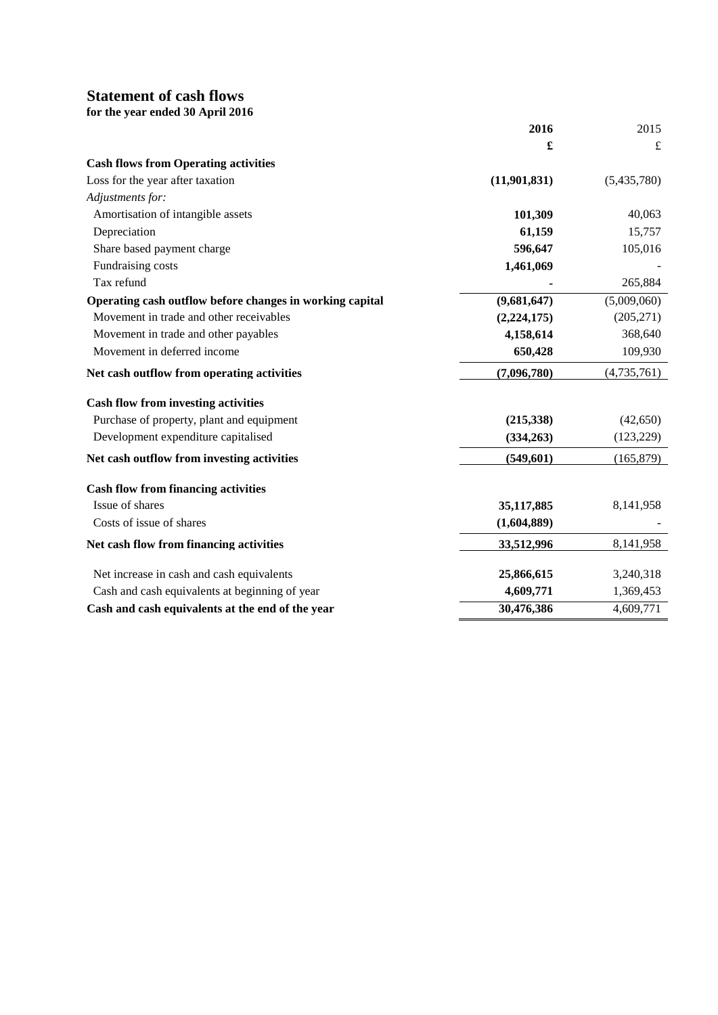# **Statement of cash flows**

|  | for the year ended 30 April 2016 |  |  |
|--|----------------------------------|--|--|
|  |                                  |  |  |

|                                                          | 2016           | 2015        |
|----------------------------------------------------------|----------------|-------------|
|                                                          | £              | $\pounds$   |
| <b>Cash flows from Operating activities</b>              |                |             |
| Loss for the year after taxation                         | (11, 901, 831) | (5,435,780) |
| Adjustments for:                                         |                |             |
| Amortisation of intangible assets                        | 101,309        | 40,063      |
| Depreciation                                             | 61,159         | 15,757      |
| Share based payment charge                               | 596,647        | 105,016     |
| Fundraising costs                                        | 1,461,069      |             |
| Tax refund                                               |                | 265,884     |
| Operating cash outflow before changes in working capital | (9,681,647)    | (5,009,060) |
| Movement in trade and other receivables                  | (2,224,175)    | (205, 271)  |
| Movement in trade and other payables                     | 4,158,614      | 368,640     |
| Movement in deferred income                              | 650,428        | 109,930     |
| Net cash outflow from operating activities               | (7,096,780)    | (4,735,761) |
| <b>Cash flow from investing activities</b>               |                |             |
| Purchase of property, plant and equipment                | (215,338)      | (42, 650)   |
| Development expenditure capitalised                      | (334,263)      | (123, 229)  |
| Net cash outflow from investing activities               | (549,601)      | (165, 879)  |
| <b>Cash flow from financing activities</b>               |                |             |
| Issue of shares                                          | 35,117,885     | 8,141,958   |
| Costs of issue of shares                                 | (1,604,889)    |             |
| Net cash flow from financing activities                  | 33,512,996     | 8,141,958   |
| Net increase in cash and cash equivalents                | 25,866,615     | 3,240,318   |
| Cash and cash equivalents at beginning of year           | 4,609,771      | 1,369,453   |
| Cash and cash equivalents at the end of the year         | 30,476,386     | 4,609,771   |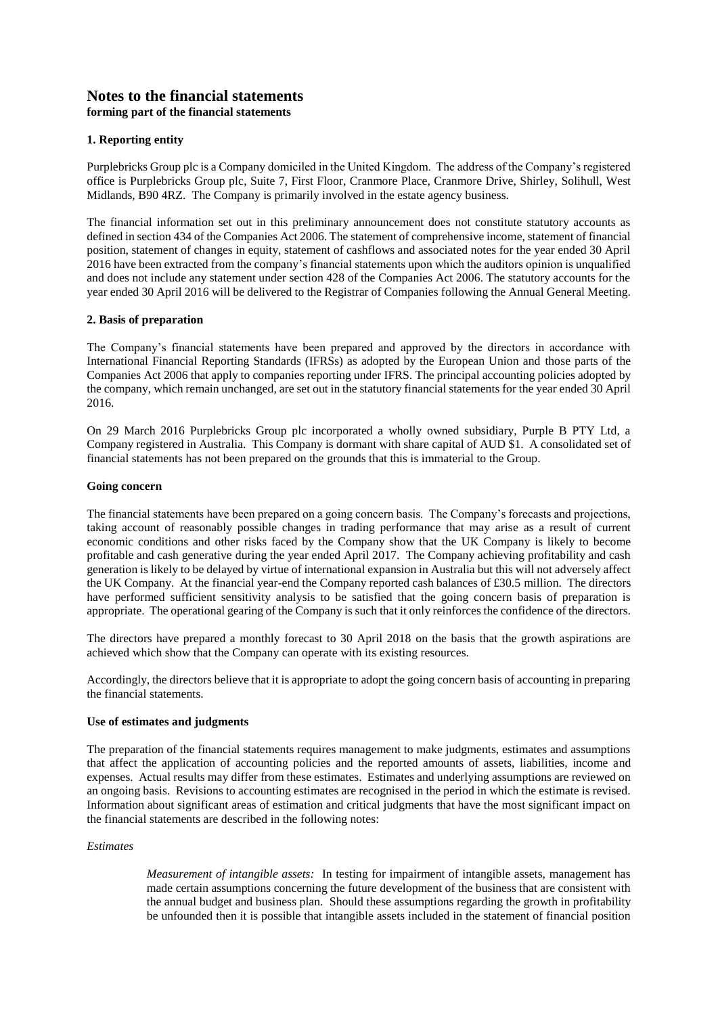# **Notes to the financial statements forming part of the financial statements**

# **1. Reporting entity**

Purplebricks Group plc is a Company domiciled in the United Kingdom. The address of the Company's registered office is Purplebricks Group plc, Suite 7, First Floor, Cranmore Place, Cranmore Drive, Shirley, Solihull, West Midlands, B90 4RZ. The Company is primarily involved in the estate agency business.

The financial information set out in this preliminary announcement does not constitute statutory accounts as defined in section 434 of the Companies Act 2006. The statement of comprehensive income, statement of financial position, statement of changes in equity, statement of cashflows and associated notes for the year ended 30 April 2016 have been extracted from the company's financial statements upon which the auditors opinion is unqualified and does not include any statement under section 428 of the Companies Act 2006. The statutory accounts for the year ended 30 April 2016 will be delivered to the Registrar of Companies following the Annual General Meeting.

### **2. Basis of preparation**

The Company's financial statements have been prepared and approved by the directors in accordance with International Financial Reporting Standards (IFRSs) as adopted by the European Union and those parts of the Companies Act 2006 that apply to companies reporting under IFRS. The principal accounting policies adopted by the company, which remain unchanged, are set out in the statutory financial statements for the year ended 30 April 2016.

On 29 March 2016 Purplebricks Group plc incorporated a wholly owned subsidiary, Purple B PTY Ltd, a Company registered in Australia. This Company is dormant with share capital of AUD \$1. A consolidated set of financial statements has not been prepared on the grounds that this is immaterial to the Group.

### **Going concern**

The financial statements have been prepared on a going concern basis. The Company's forecasts and projections, taking account of reasonably possible changes in trading performance that may arise as a result of current economic conditions and other risks faced by the Company show that the UK Company is likely to become profitable and cash generative during the year ended April 2017. The Company achieving profitability and cash generation is likely to be delayed by virtue of international expansion in Australia but this will not adversely affect the UK Company. At the financial year-end the Company reported cash balances of £30.5 million. The directors have performed sufficient sensitivity analysis to be satisfied that the going concern basis of preparation is appropriate. The operational gearing of the Company is such that it only reinforces the confidence of the directors.

The directors have prepared a monthly forecast to 30 April 2018 on the basis that the growth aspirations are achieved which show that the Company can operate with its existing resources.

Accordingly, the directors believe that it is appropriate to adopt the going concern basis of accounting in preparing the financial statements.

#### **Use of estimates and judgments**

The preparation of the financial statements requires management to make judgments, estimates and assumptions that affect the application of accounting policies and the reported amounts of assets, liabilities, income and expenses. Actual results may differ from these estimates. Estimates and underlying assumptions are reviewed on an ongoing basis. Revisions to accounting estimates are recognised in the period in which the estimate is revised. Information about significant areas of estimation and critical judgments that have the most significant impact on the financial statements are described in the following notes:

### *Estimates*

*Measurement of intangible assets:* In testing for impairment of intangible assets, management has made certain assumptions concerning the future development of the business that are consistent with the annual budget and business plan. Should these assumptions regarding the growth in profitability be unfounded then it is possible that intangible assets included in the statement of financial position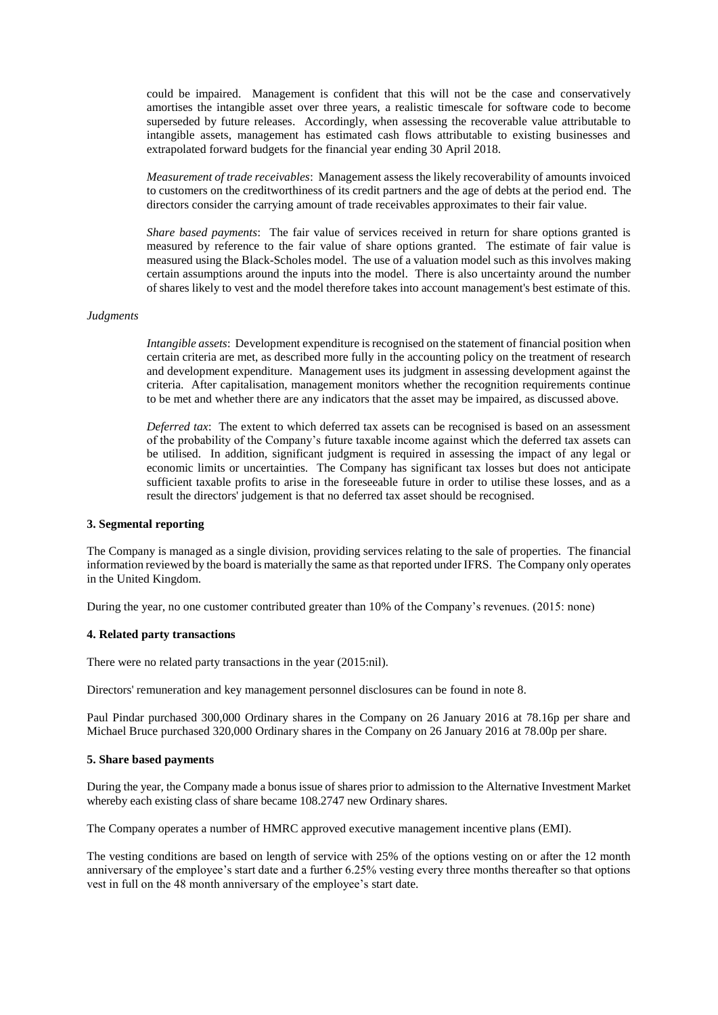could be impaired. Management is confident that this will not be the case and conservatively amortises the intangible asset over three years, a realistic timescale for software code to become superseded by future releases. Accordingly, when assessing the recoverable value attributable to intangible assets, management has estimated cash flows attributable to existing businesses and extrapolated forward budgets for the financial year ending 30 April 2018.

*Measurement of trade receivables*: Management assess the likely recoverability of amounts invoiced to customers on the creditworthiness of its credit partners and the age of debts at the period end. The directors consider the carrying amount of trade receivables approximates to their fair value.

*Share based payments*: The fair value of services received in return for share options granted is measured by reference to the fair value of share options granted. The estimate of fair value is measured using the Black-Scholes model. The use of a valuation model such as this involves making certain assumptions around the inputs into the model. There is also uncertainty around the number of shares likely to vest and the model therefore takes into account management's best estimate of this.

#### *Judgments*

*Intangible assets*: Development expenditure is recognised on the statement of financial position when certain criteria are met, as described more fully in the accounting policy on the treatment of research and development expenditure. Management uses its judgment in assessing development against the criteria. After capitalisation, management monitors whether the recognition requirements continue to be met and whether there are any indicators that the asset may be impaired, as discussed above.

*Deferred tax*: The extent to which deferred tax assets can be recognised is based on an assessment of the probability of the Company's future taxable income against which the deferred tax assets can be utilised. In addition, significant judgment is required in assessing the impact of any legal or economic limits or uncertainties. The Company has significant tax losses but does not anticipate sufficient taxable profits to arise in the foreseeable future in order to utilise these losses, and as a result the directors' judgement is that no deferred tax asset should be recognised.

#### **3. Segmental reporting**

The Company is managed as a single division, providing services relating to the sale of properties. The financial information reviewed by the board is materially the same as that reported under IFRS. The Company only operates in the United Kingdom.

During the year, no one customer contributed greater than 10% of the Company's revenues. (2015: none)

#### **4. Related party transactions**

There were no related party transactions in the year (2015:nil).

Directors' remuneration and key management personnel disclosures can be found in note 8.

Paul Pindar purchased 300,000 Ordinary shares in the Company on 26 January 2016 at 78.16p per share and Michael Bruce purchased 320,000 Ordinary shares in the Company on 26 January 2016 at 78.00p per share.

#### **5. Share based payments**

During the year, the Company made a bonus issue of shares prior to admission to the Alternative Investment Market whereby each existing class of share became 108.2747 new Ordinary shares.

The Company operates a number of HMRC approved executive management incentive plans (EMI).

The vesting conditions are based on length of service with 25% of the options vesting on or after the 12 month anniversary of the employee's start date and a further 6.25% vesting every three months thereafter so that options vest in full on the 48 month anniversary of the employee's start date.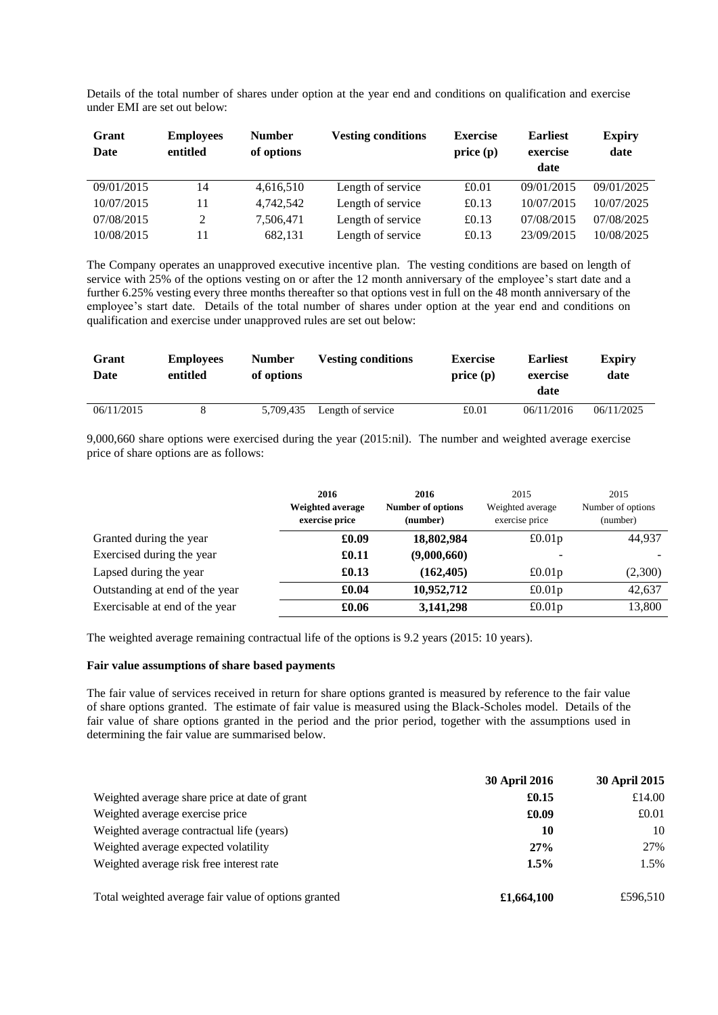Details of the total number of shares under option at the year end and conditions on qualification and exercise under EMI are set out below:

| Grant<br>Date | <b>Employees</b><br>entitled | <b>Number</b><br>of options | <b>Vesting conditions</b> | <b>Exercise</b><br>price(p) | <b>Earliest</b><br>exercise<br>date | <b>Expiry</b><br>date |
|---------------|------------------------------|-----------------------------|---------------------------|-----------------------------|-------------------------------------|-----------------------|
| 09/01/2015    | 14                           | 4,616,510                   | Length of service         | £0.01                       | 09/01/2015                          | 09/01/2025            |
| 10/07/2015    | 11                           | 4.742.542                   | Length of service         | £0.13                       | 10/07/2015                          | 10/07/2025            |
| 07/08/2015    | $\mathcal{D}$                | 7,506,471                   | Length of service         | £0.13                       | 07/08/2015                          | 07/08/2025            |
| 10/08/2015    |                              | 682,131                     | Length of service         | £0.13                       | 23/09/2015                          | 10/08/2025            |

The Company operates an unapproved executive incentive plan. The vesting conditions are based on length of service with 25% of the options vesting on or after the 12 month anniversary of the employee's start date and a further 6.25% vesting every three months thereafter so that options vest in full on the 48 month anniversary of the employee's start date. Details of the total number of shares under option at the year end and conditions on qualification and exercise under unapproved rules are set out below:

| Grant<br>Date | <b>Employees</b><br>entitled | Number<br>of options | <b>Vesting conditions</b> | <b>Exercise</b><br>price(p) | <b>Earliest</b><br>exercise | <b>Expiry</b><br>date |
|---------------|------------------------------|----------------------|---------------------------|-----------------------------|-----------------------------|-----------------------|
|               |                              |                      |                           |                             | date                        |                       |
| 06/11/2015    |                              | 5,709,435            | Length of service         | £0.01                       | 06/11/2016                  | 06/11/2025            |

9,000,660 share options were exercised during the year (2015:nil). The number and weighted average exercise price of share options are as follows:

|                                | 2016<br>Weighted average<br>exercise price | 2016<br><b>Number of options</b><br>(number) | 2015<br>Weighted average<br>exercise price | 2015<br>Number of options<br>(number) |
|--------------------------------|--------------------------------------------|----------------------------------------------|--------------------------------------------|---------------------------------------|
| Granted during the year        | £0.09                                      | 18,802,984                                   | £0.01p                                     | 44,937                                |
| Exercised during the year      | £0.11                                      | (9,000,660)                                  |                                            |                                       |
| Lapsed during the year         | £0.13                                      | (162, 405)                                   | £0.01p                                     | (2,300)                               |
| Outstanding at end of the year | £0.04                                      | 10,952,712                                   | £0.01p                                     | 42,637                                |
| Exercisable at end of the year | £0.06                                      | 3,141,298                                    | £0.01p                                     | 13,800                                |

The weighted average remaining contractual life of the options is 9.2 years (2015: 10 years).

### **Fair value assumptions of share based payments**

The fair value of services received in return for share options granted is measured by reference to the fair value of share options granted. The estimate of fair value is measured using the Black-Scholes model. Details of the fair value of share options granted in the period and the prior period, together with the assumptions used in determining the fair value are summarised below.

|                                                      | <b>30 April 2016</b> | <b>30 April 2015</b> |
|------------------------------------------------------|----------------------|----------------------|
| Weighted average share price at date of grant        | £0.15                | £14.00               |
| Weighted average exercise price                      | £0.09                | £0.01                |
| Weighted average contractual life (years)            | 10                   | 10                   |
| Weighted average expected volatility                 | 27%                  | 27%                  |
| Weighted average risk free interest rate             | 1.5%                 | 1.5%                 |
| Total weighted average fair value of options granted | £1,664,100           | £596.510             |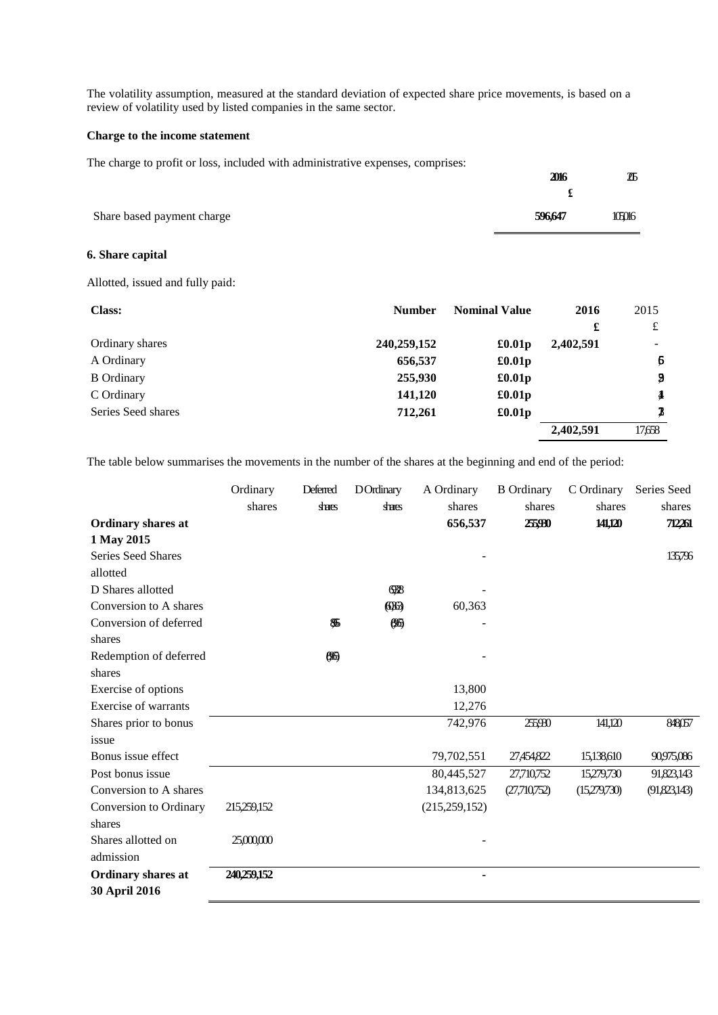The volatility assumption, measured at the standard deviation of expected share price movements, is based on a review of volatility used by listed companies in the same sector.

### **Charge to the income statement**

The charge to profit or loss, included with administrative expenses, comprises:

|                            | 2016    | ZБ     |
|----------------------------|---------|--------|
|                            |         |        |
| Share based payment charge | 596,647 | 105016 |

### **6. Share capital**

Allotted, issued and fully paid:

| <b>Class:</b>      | <b>Number</b> | <b>Nominal Value</b> | 2016      | 2015             |
|--------------------|---------------|----------------------|-----------|------------------|
|                    |               |                      | £         | £                |
| Ordinary shares    | 240,259,152   | £0.01p               | 2,402,591 | ۰.               |
| A Ordinary         | 656,537       | £0.01p               |           | $\boldsymbol{6}$ |
| <b>B</b> Ordinary  | 255,930       | £0.01p               |           | 9                |
| C Ordinary         | 141,120       | £0.01p               |           | $\frac{4}{3}$    |
| Series Seed shares | 712,261       | £0.01p               |           | 3                |
|                    |               |                      | 2,402,591 | 17,658           |

The table below summarises the movements in the number of the shares at the beginning and end of the period:

|                           | Ordinary    | Deferred | <b>D</b> Ordinary | A Ordinary      | <b>B</b> Ordinary | C Ordinary   | Series Seed  |
|---------------------------|-------------|----------|-------------------|-----------------|-------------------|--------------|--------------|
|                           | shares      | shares   | shares            | shares          | shares            | shares       | shares       |
| <b>Ordinary shares at</b> |             |          |                   | 656,537         | 25,930            | 141,120      | 712261       |
| 1 May 2015                |             |          |                   |                 |                   |              |              |
| Series Seed Shares        |             |          |                   |                 |                   |              | 135,796      |
| allotted                  |             |          |                   |                 |                   |              |              |
| D Shares allotted         |             |          | 688               |                 |                   |              |              |
| Conversion to A shares    |             |          | <b>CH</b>         | 60,363          |                   |              |              |
| Conversion of deferred    |             | 85       | 86                |                 |                   |              |              |
| shares                    |             |          |                   |                 |                   |              |              |
| Redemption of deferred    |             | 86       |                   |                 |                   |              |              |
| shares                    |             |          |                   |                 |                   |              |              |
| Exercise of options       |             |          |                   | 13,800          |                   |              |              |
| Exercise of warrants      |             |          |                   | 12,276          |                   |              |              |
| Shares prior to bonus     |             |          |                   | 742,976         | 255930            | 141,120      | 848057       |
| issue                     |             |          |                   |                 |                   |              |              |
| Bonus issue effect        |             |          |                   | 79,702,551      | 27,454,822        | 15,138,610   | 90,975,086   |
| Post bonus issue          |             |          |                   | 80,445,527      | 27,710,752        | 15,279,730   | 91,823,143   |
| Conversion to A shares    |             |          |                   | 134,813,625     | (27,710,752)      | (15,279,730) | (91,823,143) |
| Conversion to Ordinary    | 215,259,152 |          |                   | (215, 259, 152) |                   |              |              |
| shares                    |             |          |                   |                 |                   |              |              |
| Shares allotted on        | 25,000,000  |          |                   |                 |                   |              |              |
| admission                 |             |          |                   |                 |                   |              |              |
| <b>Ordinary shares at</b> | 240,259,152 |          |                   |                 |                   |              |              |
| 30 April 2016             |             |          |                   |                 |                   |              |              |